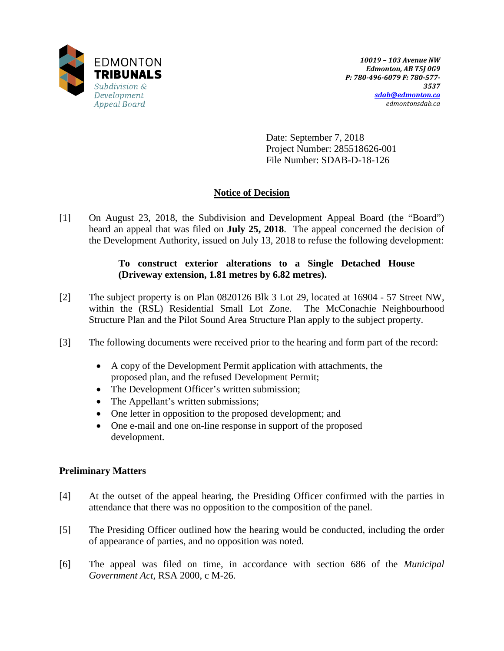

Date: September 7, 2018 Project Number: 285518626-001 File Number: SDAB-D-18-126

# **Notice of Decision**

[1] On August 23, 2018, the Subdivision and Development Appeal Board (the "Board") heard an appeal that was filed on **July 25, 2018**. The appeal concerned the decision of the Development Authority, issued on July 13, 2018 to refuse the following development:

# **To construct exterior alterations to a Single Detached House (Driveway extension, 1.81 metres by 6.82 metres).**

- [2] The subject property is on Plan 0820126 Blk 3 Lot 29, located at 16904 57 Street NW, within the (RSL) Residential Small Lot Zone. The McConachie Neighbourhood Structure Plan and the Pilot Sound Area Structure Plan apply to the subject property.
- [3] The following documents were received prior to the hearing and form part of the record:
	- A copy of the Development Permit application with attachments, the proposed plan, and the refused Development Permit;
	- The Development Officer's written submission;
	- The Appellant's written submissions;
	- One letter in opposition to the proposed development; and
	- One e-mail and one on-line response in support of the proposed development.

# **Preliminary Matters**

- [4] At the outset of the appeal hearing, the Presiding Officer confirmed with the parties in attendance that there was no opposition to the composition of the panel.
- [5] The Presiding Officer outlined how the hearing would be conducted, including the order of appearance of parties, and no opposition was noted.
- [6] The appeal was filed on time, in accordance with section 686 of the *Municipal Government Act*, RSA 2000, c M-26.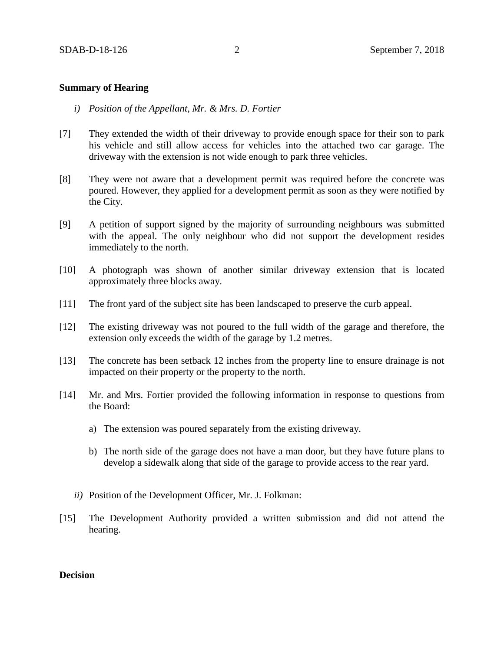#### **Summary of Hearing**

- *i) Position of the Appellant, Mr. & Mrs. D. Fortier*
- [7] They extended the width of their driveway to provide enough space for their son to park his vehicle and still allow access for vehicles into the attached two car garage. The driveway with the extension is not wide enough to park three vehicles.
- [8] They were not aware that a development permit was required before the concrete was poured. However, they applied for a development permit as soon as they were notified by the City.
- [9] A petition of support signed by the majority of surrounding neighbours was submitted with the appeal. The only neighbour who did not support the development resides immediately to the north.
- [10] A photograph was shown of another similar driveway extension that is located approximately three blocks away.
- [11] The front yard of the subject site has been landscaped to preserve the curb appeal.
- [12] The existing driveway was not poured to the full width of the garage and therefore, the extension only exceeds the width of the garage by 1.2 metres.
- [13] The concrete has been setback 12 inches from the property line to ensure drainage is not impacted on their property or the property to the north.
- [14] Mr. and Mrs. Fortier provided the following information in response to questions from the Board:
	- a) The extension was poured separately from the existing driveway.
	- b) The north side of the garage does not have a man door, but they have future plans to develop a sidewalk along that side of the garage to provide access to the rear yard.
	- *ii)* Position of the Development Officer, Mr. J. Folkman:
- [15] The Development Authority provided a written submission and did not attend the hearing.

### **Decision**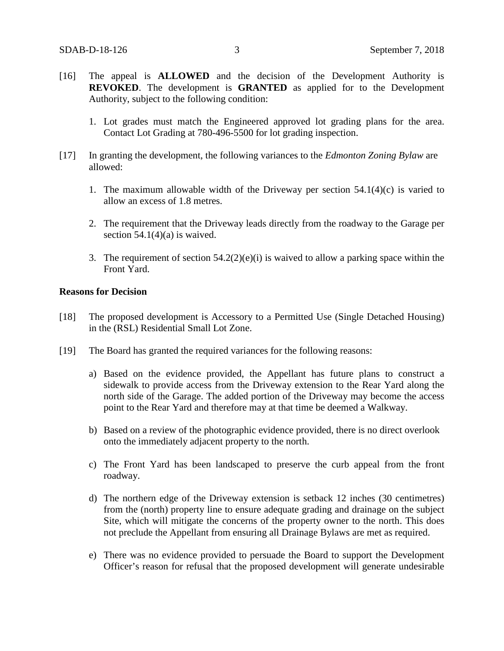- [16] The appeal is **ALLOWED** and the decision of the Development Authority is **REVOKED**. The development is **GRANTED** as applied for to the Development Authority, subject to the following condition:
	- 1. Lot grades must match the Engineered approved lot grading plans for the area. Contact Lot Grading at 780-496-5500 for lot grading inspection.
- [17] In granting the development, the following variances to the *Edmonton Zoning Bylaw* are allowed:
	- 1. The maximum allowable width of the Driveway per section  $54.1(4)(c)$  is varied to allow an excess of 1.8 metres.
	- 2. The requirement that the Driveway leads directly from the roadway to the Garage per section  $54.1(4)(a)$  is waived.
	- 3. The requirement of section  $54.2(2)(e)(i)$  is waived to allow a parking space within the Front Yard.

### **Reasons for Decision**

- [18] The proposed development is Accessory to a Permitted Use (Single Detached Housing) in the (RSL) Residential Small Lot Zone.
- [19] The Board has granted the required variances for the following reasons:
	- a) Based on the evidence provided, the Appellant has future plans to construct a sidewalk to provide access from the Driveway extension to the Rear Yard along the north side of the Garage. The added portion of the Driveway may become the access point to the Rear Yard and therefore may at that time be deemed a Walkway.
	- b) Based on a review of the photographic evidence provided, there is no direct overlook onto the immediately adjacent property to the north.
	- c) The Front Yard has been landscaped to preserve the curb appeal from the front roadway.
	- d) The northern edge of the Driveway extension is setback 12 inches (30 centimetres) from the (north) property line to ensure adequate grading and drainage on the subject Site, which will mitigate the concerns of the property owner to the north. This does not preclude the Appellant from ensuring all Drainage Bylaws are met as required.
	- e) There was no evidence provided to persuade the Board to support the Development Officer's reason for refusal that the proposed development will generate undesirable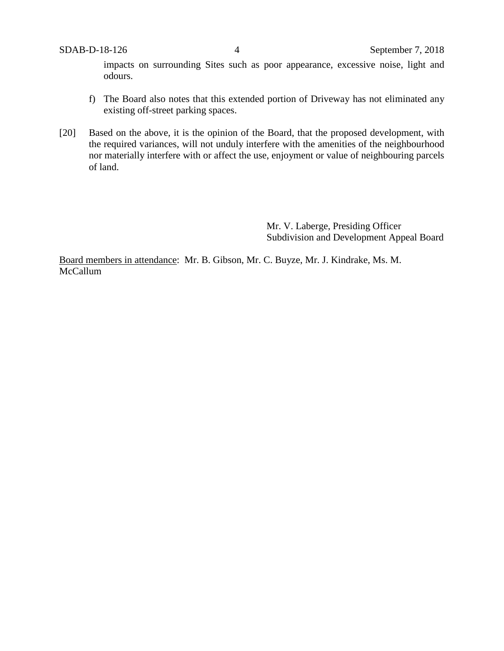impacts on surrounding Sites such as poor appearance, excessive noise, light and odours.

- f) The Board also notes that this extended portion of Driveway has not eliminated any existing off-street parking spaces.
- [20] Based on the above, it is the opinion of the Board, that the proposed development, with the required variances, will not unduly interfere with the amenities of the neighbourhood nor materially interfere with or affect the use, enjoyment or value of neighbouring parcels of land.

Mr. V. Laberge, Presiding Officer Subdivision and Development Appeal Board

Board members in attendance: Mr. B. Gibson, Mr. C. Buyze, Mr. J. Kindrake, Ms. M. McCallum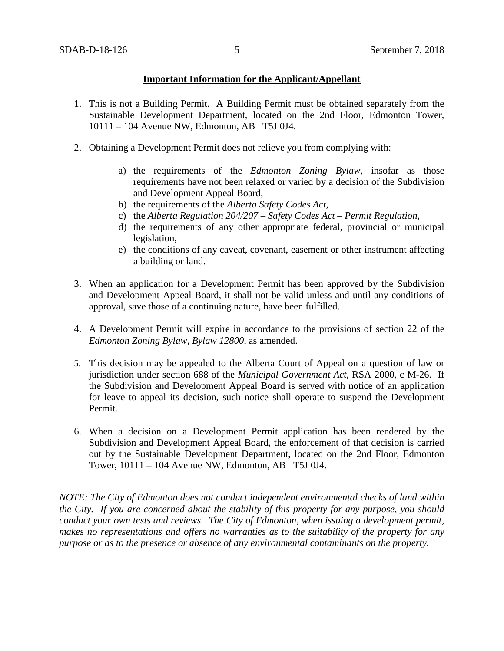## **Important Information for the Applicant/Appellant**

- 1. This is not a Building Permit. A Building Permit must be obtained separately from the Sustainable Development Department, located on the 2nd Floor, Edmonton Tower, 10111 – 104 Avenue NW, Edmonton, AB T5J 0J4.
- 2. Obtaining a Development Permit does not relieve you from complying with:
	- a) the requirements of the *Edmonton Zoning Bylaw*, insofar as those requirements have not been relaxed or varied by a decision of the Subdivision and Development Appeal Board,
	- b) the requirements of the *Alberta Safety Codes Act*,
	- c) the *Alberta Regulation 204/207 – Safety Codes Act – Permit Regulation*,
	- d) the requirements of any other appropriate federal, provincial or municipal legislation,
	- e) the conditions of any caveat, covenant, easement or other instrument affecting a building or land.
- 3. When an application for a Development Permit has been approved by the Subdivision and Development Appeal Board, it shall not be valid unless and until any conditions of approval, save those of a continuing nature, have been fulfilled.
- 4. A Development Permit will expire in accordance to the provisions of section 22 of the *Edmonton Zoning Bylaw, Bylaw 12800*, as amended.
- 5. This decision may be appealed to the Alberta Court of Appeal on a question of law or jurisdiction under section 688 of the *Municipal Government Act*, RSA 2000, c M-26. If the Subdivision and Development Appeal Board is served with notice of an application for leave to appeal its decision, such notice shall operate to suspend the Development Permit.
- 6. When a decision on a Development Permit application has been rendered by the Subdivision and Development Appeal Board, the enforcement of that decision is carried out by the Sustainable Development Department, located on the 2nd Floor, Edmonton Tower, 10111 – 104 Avenue NW, Edmonton, AB T5J 0J4.

*NOTE: The City of Edmonton does not conduct independent environmental checks of land within the City. If you are concerned about the stability of this property for any purpose, you should conduct your own tests and reviews. The City of Edmonton, when issuing a development permit, makes no representations and offers no warranties as to the suitability of the property for any purpose or as to the presence or absence of any environmental contaminants on the property.*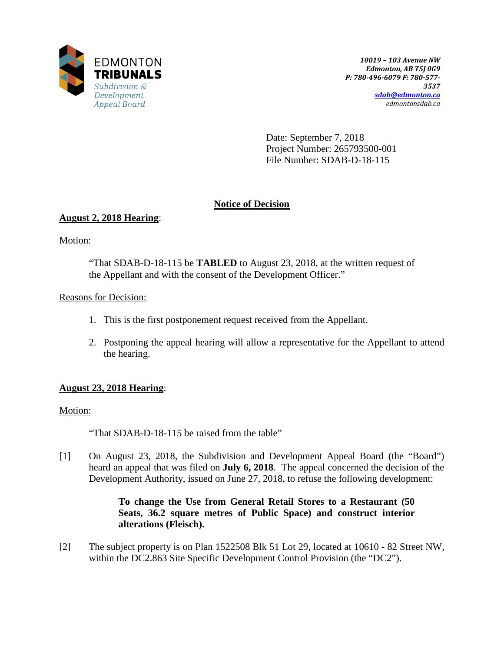

Date: September 7, 2018 Project Number: 265793500-001 File Number: SDAB-D-18-115

# **Notice of Decision**

# **August 2, 2018 Hearing**:

Motion:

"That SDAB-D-18-115 be **TABLED** to August 23, 2018, at the written request of the Appellant and with the consent of the Development Officer."

# Reasons for Decision:

- 1. This is the first postponement request received from the Appellant.
- 2. Postponing the appeal hearing will allow a representative for the Appellant to attend the hearing.

# **August 23, 2018 Hearing**:

# Motion:

"That SDAB-D-18-115 be raised from the table"

[1] On August 23, 2018, the Subdivision and Development Appeal Board (the "Board") heard an appeal that was filed on **July 6, 2018**. The appeal concerned the decision of the Development Authority, issued on June 27, 2018, to refuse the following development:

## **To change the Use from General Retail Stores to a Restaurant (50 Seats, 36.2 square metres of Public Space) and construct interior alterations (Fleisch).**

[2] The subject property is on Plan 1522508 Blk 51 Lot 29, located at 10610 - 82 Street NW, within the DC2.863 Site Specific Development Control Provision (the "DC2").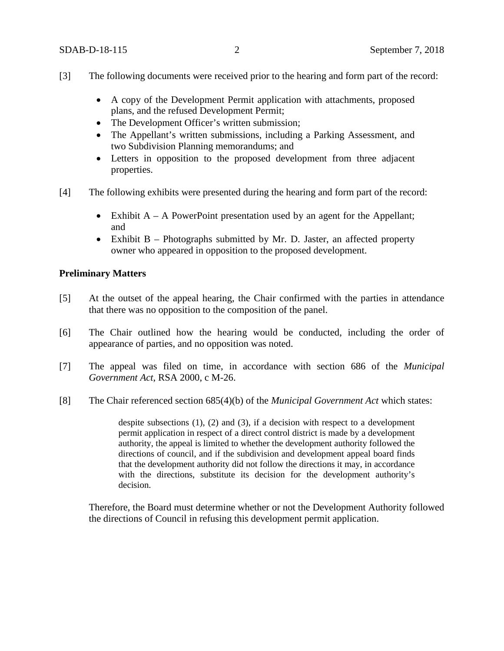- [3] The following documents were received prior to the hearing and form part of the record:
	- A copy of the Development Permit application with attachments, proposed plans, and the refused Development Permit;
	- The Development Officer's written submission:
	- The Appellant's written submissions, including a Parking Assessment, and two Subdivision Planning memorandums; and
	- Letters in opposition to the proposed development from three adjacent properties.
- [4] The following exhibits were presented during the hearing and form part of the record:
	- Exhibit  $A A$  PowerPoint presentation used by an agent for the Appellant; and
	- Exhibit B Photographs submitted by Mr. D. Jaster, an affected property owner who appeared in opposition to the proposed development.

#### **Preliminary Matters**

- [5] At the outset of the appeal hearing, the Chair confirmed with the parties in attendance that there was no opposition to the composition of the panel.
- [6] The Chair outlined how the hearing would be conducted, including the order of appearance of parties, and no opposition was noted.
- [7] The appeal was filed on time, in accordance with section 686 of the *Municipal Government Act*, RSA 2000, c M-26.
- [8] The Chair referenced section 685(4)(b) of the *Municipal Government Act* which states:

despite subsections (1), (2) and (3), if a decision with respect to a development permit application in respect of a direct control district is made by a development authority, the appeal is limited to whether the development authority followed the directions of council, and if the subdivision and development appeal board finds that the development authority did not follow the directions it may, in accordance with the directions, substitute its decision for the development authority's decision.

Therefore, the Board must determine whether or not the Development Authority followed the directions of Council in refusing this development permit application.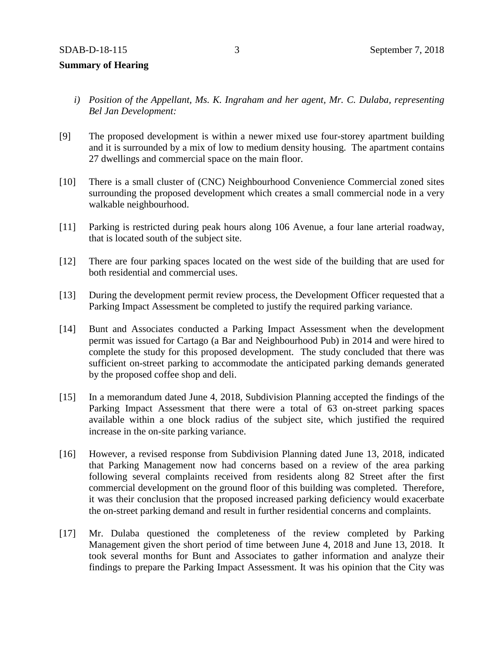- *i) Position of the Appellant, Ms. K. Ingraham and her agent, Mr. C. Dulaba, representing Bel Jan Development:*
- [9] The proposed development is within a newer mixed use four-storey apartment building and it is surrounded by a mix of low to medium density housing. The apartment contains 27 dwellings and commercial space on the main floor.
- [10] There is a small cluster of (CNC) Neighbourhood Convenience Commercial zoned sites surrounding the proposed development which creates a small commercial node in a very walkable neighbourhood.
- [11] Parking is restricted during peak hours along 106 Avenue, a four lane arterial roadway, that is located south of the subject site.
- [12] There are four parking spaces located on the west side of the building that are used for both residential and commercial uses.
- [13] During the development permit review process, the Development Officer requested that a Parking Impact Assessment be completed to justify the required parking variance.
- [14] Bunt and Associates conducted a Parking Impact Assessment when the development permit was issued for Cartago (a Bar and Neighbourhood Pub) in 2014 and were hired to complete the study for this proposed development. The study concluded that there was sufficient on-street parking to accommodate the anticipated parking demands generated by the proposed coffee shop and deli.
- [15] In a memorandum dated June 4, 2018, Subdivision Planning accepted the findings of the Parking Impact Assessment that there were a total of 63 on-street parking spaces available within a one block radius of the subject site, which justified the required increase in the on-site parking variance.
- [16] However, a revised response from Subdivision Planning dated June 13, 2018, indicated that Parking Management now had concerns based on a review of the area parking following several complaints received from residents along 82 Street after the first commercial development on the ground floor of this building was completed. Therefore, it was their conclusion that the proposed increased parking deficiency would exacerbate the on-street parking demand and result in further residential concerns and complaints.
- [17] Mr. Dulaba questioned the completeness of the review completed by Parking Management given the short period of time between June 4, 2018 and June 13, 2018. It took several months for Bunt and Associates to gather information and analyze their findings to prepare the Parking Impact Assessment. It was his opinion that the City was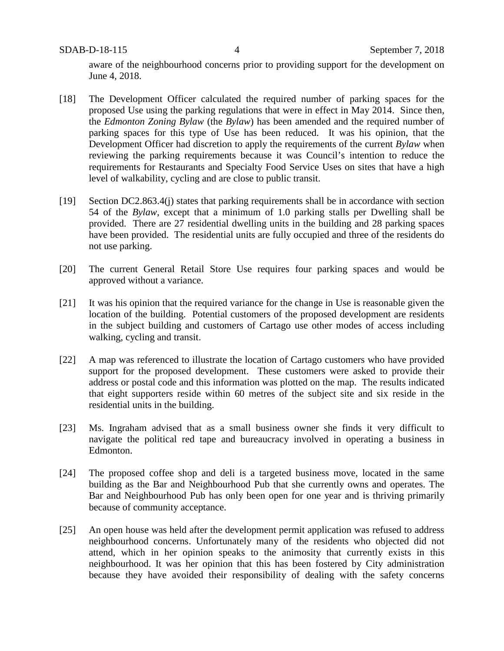aware of the neighbourhood concerns prior to providing support for the development on June 4, 2018.

- [18] The Development Officer calculated the required number of parking spaces for the proposed Use using the parking regulations that were in effect in May 2014. Since then, the *Edmonton Zoning Bylaw* (the *Bylaw*) has been amended and the required number of parking spaces for this type of Use has been reduced. It was his opinion, that the Development Officer had discretion to apply the requirements of the current *Bylaw* when reviewing the parking requirements because it was Council's intention to reduce the requirements for Restaurants and Specialty Food Service Uses on sites that have a high level of walkability, cycling and are close to public transit.
- [19] Section DC2.863.4(j) states that parking requirements shall be in accordance with section 54 of the *Bylaw*, except that a minimum of 1.0 parking stalls per Dwelling shall be provided. There are 27 residential dwelling units in the building and 28 parking spaces have been provided. The residential units are fully occupied and three of the residents do not use parking.
- [20] The current General Retail Store Use requires four parking spaces and would be approved without a variance.
- [21] It was his opinion that the required variance for the change in Use is reasonable given the location of the building. Potential customers of the proposed development are residents in the subject building and customers of Cartago use other modes of access including walking, cycling and transit.
- [22] A map was referenced to illustrate the location of Cartago customers who have provided support for the proposed development. These customers were asked to provide their address or postal code and this information was plotted on the map. The results indicated that eight supporters reside within 60 metres of the subject site and six reside in the residential units in the building.
- [23] Ms. Ingraham advised that as a small business owner she finds it very difficult to navigate the political red tape and bureaucracy involved in operating a business in Edmonton.
- [24] The proposed coffee shop and deli is a targeted business move, located in the same building as the Bar and Neighbourhood Pub that she currently owns and operates. The Bar and Neighbourhood Pub has only been open for one year and is thriving primarily because of community acceptance.
- [25] An open house was held after the development permit application was refused to address neighbourhood concerns. Unfortunately many of the residents who objected did not attend, which in her opinion speaks to the animosity that currently exists in this neighbourhood. It was her opinion that this has been fostered by City administration because they have avoided their responsibility of dealing with the safety concerns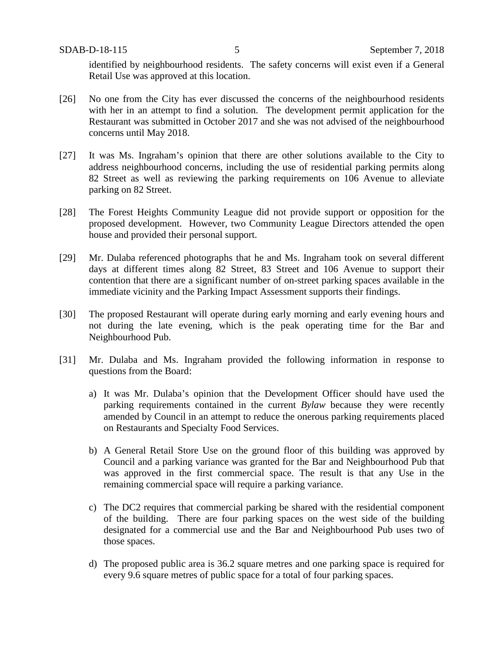identified by neighbourhood residents. The safety concerns will exist even if a General Retail Use was approved at this location.

- [26] No one from the City has ever discussed the concerns of the neighbourhood residents with her in an attempt to find a solution. The development permit application for the Restaurant was submitted in October 2017 and she was not advised of the neighbourhood concerns until May 2018.
- [27] It was Ms. Ingraham's opinion that there are other solutions available to the City to address neighbourhood concerns, including the use of residential parking permits along 82 Street as well as reviewing the parking requirements on 106 Avenue to alleviate parking on 82 Street.
- [28] The Forest Heights Community League did not provide support or opposition for the proposed development. However, two Community League Directors attended the open house and provided their personal support.
- [29] Mr. Dulaba referenced photographs that he and Ms. Ingraham took on several different days at different times along 82 Street, 83 Street and 106 Avenue to support their contention that there are a significant number of on-street parking spaces available in the immediate vicinity and the Parking Impact Assessment supports their findings.
- [30] The proposed Restaurant will operate during early morning and early evening hours and not during the late evening, which is the peak operating time for the Bar and Neighbourhood Pub.
- [31] Mr. Dulaba and Ms. Ingraham provided the following information in response to questions from the Board:
	- a) It was Mr. Dulaba's opinion that the Development Officer should have used the parking requirements contained in the current *Bylaw* because they were recently amended by Council in an attempt to reduce the onerous parking requirements placed on Restaurants and Specialty Food Services.
	- b) A General Retail Store Use on the ground floor of this building was approved by Council and a parking variance was granted for the Bar and Neighbourhood Pub that was approved in the first commercial space. The result is that any Use in the remaining commercial space will require a parking variance.
	- c) The DC2 requires that commercial parking be shared with the residential component of the building. There are four parking spaces on the west side of the building designated for a commercial use and the Bar and Neighbourhood Pub uses two of those spaces.
	- d) The proposed public area is 36.2 square metres and one parking space is required for every 9.6 square metres of public space for a total of four parking spaces.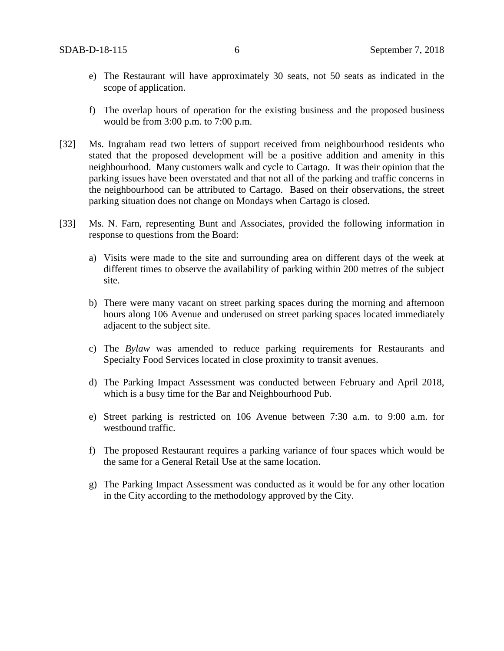- e) The Restaurant will have approximately 30 seats, not 50 seats as indicated in the scope of application.
- f) The overlap hours of operation for the existing business and the proposed business would be from 3:00 p.m. to 7:00 p.m.
- [32] Ms. Ingraham read two letters of support received from neighbourhood residents who stated that the proposed development will be a positive addition and amenity in this neighbourhood. Many customers walk and cycle to Cartago. It was their opinion that the parking issues have been overstated and that not all of the parking and traffic concerns in the neighbourhood can be attributed to Cartago. Based on their observations, the street parking situation does not change on Mondays when Cartago is closed.
- [33] Ms. N. Farn, representing Bunt and Associates, provided the following information in response to questions from the Board:
	- a) Visits were made to the site and surrounding area on different days of the week at different times to observe the availability of parking within 200 metres of the subject site.
	- b) There were many vacant on street parking spaces during the morning and afternoon hours along 106 Avenue and underused on street parking spaces located immediately adjacent to the subject site.
	- c) The *Bylaw* was amended to reduce parking requirements for Restaurants and Specialty Food Services located in close proximity to transit avenues.
	- d) The Parking Impact Assessment was conducted between February and April 2018, which is a busy time for the Bar and Neighbourhood Pub.
	- e) Street parking is restricted on 106 Avenue between 7:30 a.m. to 9:00 a.m. for westbound traffic.
	- f) The proposed Restaurant requires a parking variance of four spaces which would be the same for a General Retail Use at the same location.
	- g) The Parking Impact Assessment was conducted as it would be for any other location in the City according to the methodology approved by the City.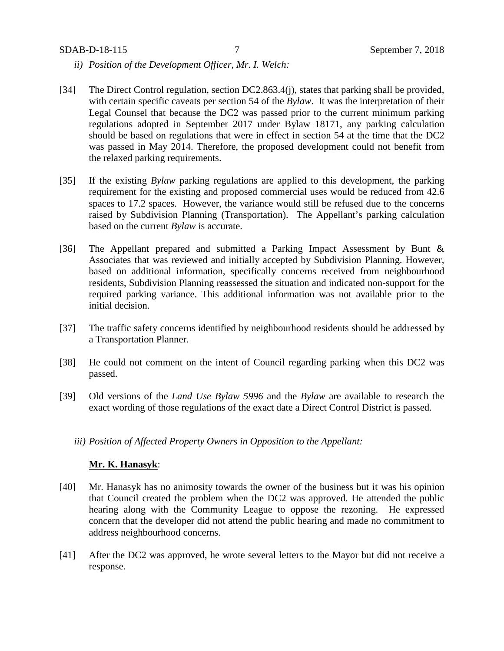- *ii) Position of the Development Officer, Mr. I. Welch:*
- [34] The Direct Control regulation, section DC2.863.4(j), states that parking shall be provided, with certain specific caveats per section 54 of the *Bylaw*. It was the interpretation of their Legal Counsel that because the DC2 was passed prior to the current minimum parking regulations adopted in September 2017 under Bylaw 18171, any parking calculation should be based on regulations that were in effect in section 54 at the time that the DC2 was passed in May 2014. Therefore, the proposed development could not benefit from the relaxed parking requirements.
- [35] If the existing *Bylaw* parking regulations are applied to this development, the parking requirement for the existing and proposed commercial uses would be reduced from 42.6 spaces to 17.2 spaces. However, the variance would still be refused due to the concerns raised by Subdivision Planning (Transportation). The Appellant's parking calculation based on the current *Bylaw* is accurate.
- [36] The Appellant prepared and submitted a Parking Impact Assessment by Bunt & Associates that was reviewed and initially accepted by Subdivision Planning. However, based on additional information, specifically concerns received from neighbourhood residents, Subdivision Planning reassessed the situation and indicated non-support for the required parking variance. This additional information was not available prior to the initial decision.
- [37] The traffic safety concerns identified by neighbourhood residents should be addressed by a Transportation Planner.
- [38] He could not comment on the intent of Council regarding parking when this DC2 was passed.
- [39] Old versions of the *Land Use Bylaw 5996* and the *Bylaw* are available to research the exact wording of those regulations of the exact date a Direct Control District is passed.
	- *iii) Position of Affected Property Owners in Opposition to the Appellant:*

#### **Mr. K. Hanasyk**:

- [40] Mr. Hanasyk has no animosity towards the owner of the business but it was his opinion that Council created the problem when the DC2 was approved. He attended the public hearing along with the Community League to oppose the rezoning. He expressed concern that the developer did not attend the public hearing and made no commitment to address neighbourhood concerns.
- [41] After the DC2 was approved, he wrote several letters to the Mayor but did not receive a response.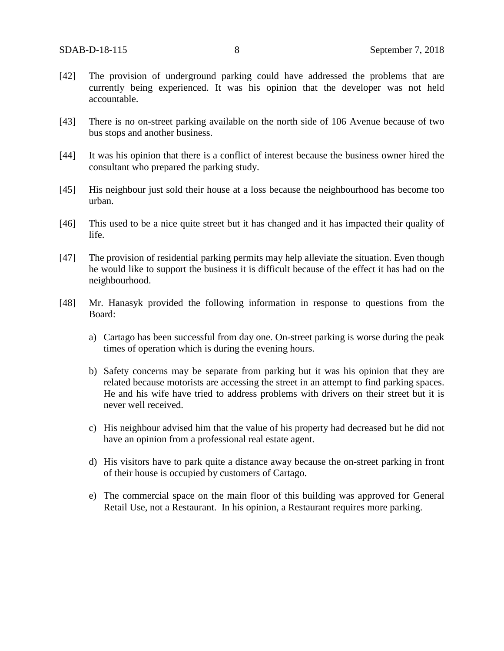- [42] The provision of underground parking could have addressed the problems that are currently being experienced. It was his opinion that the developer was not held accountable.
- [43] There is no on-street parking available on the north side of 106 Avenue because of two bus stops and another business.
- [44] It was his opinion that there is a conflict of interest because the business owner hired the consultant who prepared the parking study.
- [45] His neighbour just sold their house at a loss because the neighbourhood has become too urban.
- [46] This used to be a nice quite street but it has changed and it has impacted their quality of life.
- [47] The provision of residential parking permits may help alleviate the situation. Even though he would like to support the business it is difficult because of the effect it has had on the neighbourhood.
- [48] Mr. Hanasyk provided the following information in response to questions from the Board:
	- a) Cartago has been successful from day one. On-street parking is worse during the peak times of operation which is during the evening hours.
	- b) Safety concerns may be separate from parking but it was his opinion that they are related because motorists are accessing the street in an attempt to find parking spaces. He and his wife have tried to address problems with drivers on their street but it is never well received.
	- c) His neighbour advised him that the value of his property had decreased but he did not have an opinion from a professional real estate agent.
	- d) His visitors have to park quite a distance away because the on-street parking in front of their house is occupied by customers of Cartago.
	- e) The commercial space on the main floor of this building was approved for General Retail Use, not a Restaurant. In his opinion, a Restaurant requires more parking.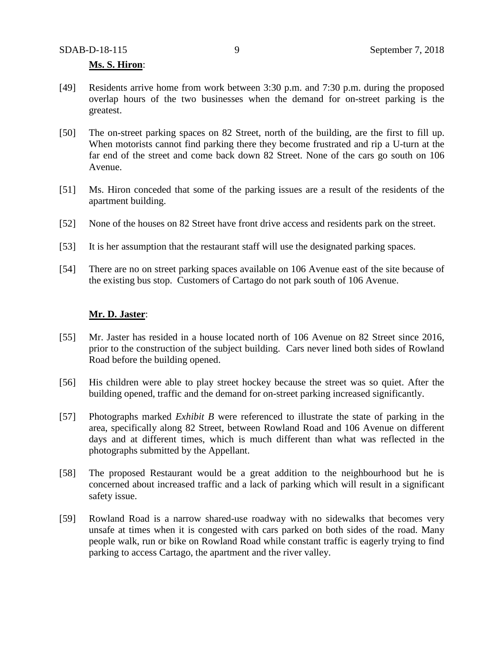#### **Ms. S. Hiron**:

- [49] Residents arrive home from work between 3:30 p.m. and 7:30 p.m. during the proposed overlap hours of the two businesses when the demand for on-street parking is the greatest.
- [50] The on-street parking spaces on 82 Street, north of the building, are the first to fill up. When motorists cannot find parking there they become frustrated and rip a U-turn at the far end of the street and come back down 82 Street. None of the cars go south on 106 Avenue.
- [51] Ms. Hiron conceded that some of the parking issues are a result of the residents of the apartment building.
- [52] None of the houses on 82 Street have front drive access and residents park on the street.
- [53] It is her assumption that the restaurant staff will use the designated parking spaces.
- [54] There are no on street parking spaces available on 106 Avenue east of the site because of the existing bus stop. Customers of Cartago do not park south of 106 Avenue.

#### **Mr. D. Jaster**:

- [55] Mr. Jaster has resided in a house located north of 106 Avenue on 82 Street since 2016, prior to the construction of the subject building. Cars never lined both sides of Rowland Road before the building opened.
- [56] His children were able to play street hockey because the street was so quiet. After the building opened, traffic and the demand for on-street parking increased significantly.
- [57] Photographs marked *Exhibit B* were referenced to illustrate the state of parking in the area, specifically along 82 Street, between Rowland Road and 106 Avenue on different days and at different times, which is much different than what was reflected in the photographs submitted by the Appellant.
- [58] The proposed Restaurant would be a great addition to the neighbourhood but he is concerned about increased traffic and a lack of parking which will result in a significant safety issue.
- [59] Rowland Road is a narrow shared-use roadway with no sidewalks that becomes very unsafe at times when it is congested with cars parked on both sides of the road. Many people walk, run or bike on Rowland Road while constant traffic is eagerly trying to find parking to access Cartago, the apartment and the river valley.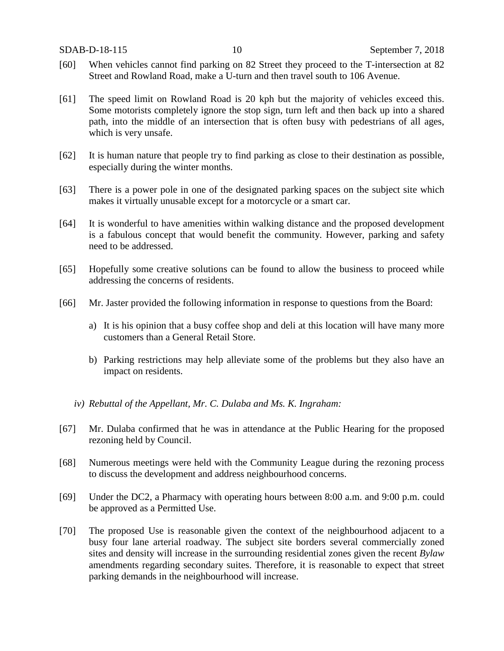- [60] When vehicles cannot find parking on 82 Street they proceed to the T-intersection at 82 Street and Rowland Road, make a U-turn and then travel south to 106 Avenue.
- [61] The speed limit on Rowland Road is 20 kph but the majority of vehicles exceed this. Some motorists completely ignore the stop sign, turn left and then back up into a shared path, into the middle of an intersection that is often busy with pedestrians of all ages, which is very unsafe.
- [62] It is human nature that people try to find parking as close to their destination as possible, especially during the winter months.
- [63] There is a power pole in one of the designated parking spaces on the subject site which makes it virtually unusable except for a motorcycle or a smart car.
- [64] It is wonderful to have amenities within walking distance and the proposed development is a fabulous concept that would benefit the community. However, parking and safety need to be addressed.
- [65] Hopefully some creative solutions can be found to allow the business to proceed while addressing the concerns of residents.
- [66] Mr. Jaster provided the following information in response to questions from the Board:
	- a) It is his opinion that a busy coffee shop and deli at this location will have many more customers than a General Retail Store.
	- b) Parking restrictions may help alleviate some of the problems but they also have an impact on residents.
	- *iv) Rebuttal of the Appellant, Mr. C. Dulaba and Ms. K. Ingraham:*
- [67] Mr. Dulaba confirmed that he was in attendance at the Public Hearing for the proposed rezoning held by Council.
- [68] Numerous meetings were held with the Community League during the rezoning process to discuss the development and address neighbourhood concerns.
- [69] Under the DC2, a Pharmacy with operating hours between 8:00 a.m. and 9:00 p.m. could be approved as a Permitted Use.
- [70] The proposed Use is reasonable given the context of the neighbourhood adjacent to a busy four lane arterial roadway. The subject site borders several commercially zoned sites and density will increase in the surrounding residential zones given the recent *Bylaw* amendments regarding secondary suites. Therefore, it is reasonable to expect that street parking demands in the neighbourhood will increase.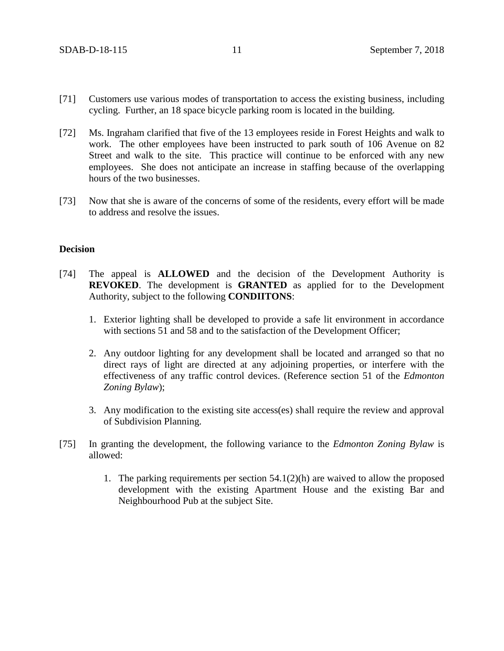- [71] Customers use various modes of transportation to access the existing business, including cycling. Further, an 18 space bicycle parking room is located in the building.
- [72] Ms. Ingraham clarified that five of the 13 employees reside in Forest Heights and walk to work. The other employees have been instructed to park south of 106 Avenue on 82 Street and walk to the site. This practice will continue to be enforced with any new employees. She does not anticipate an increase in staffing because of the overlapping hours of the two businesses.
- [73] Now that she is aware of the concerns of some of the residents, every effort will be made to address and resolve the issues.

## **Decision**

- [74] The appeal is **ALLOWED** and the decision of the Development Authority is **REVOKED**. The development is **GRANTED** as applied for to the Development Authority, subject to the following **CONDIITONS**:
	- 1. Exterior lighting shall be developed to provide a safe lit environment in accordance with sections 51 and 58 and to the satisfaction of the Development Officer;
	- 2. Any outdoor lighting for any development shall be located and arranged so that no direct rays of light are directed at any adjoining properties, or interfere with the effectiveness of any traffic control devices. (Reference section 51 of the *Edmonton Zoning Bylaw*);
	- 3. Any modification to the existing site access(es) shall require the review and approval of Subdivision Planning.
- [75] In granting the development, the following variance to the *Edmonton Zoning Bylaw* is allowed:
	- 1. The parking requirements per section 54.1(2)(h) are waived to allow the proposed development with the existing Apartment House and the existing Bar and Neighbourhood Pub at the subject Site.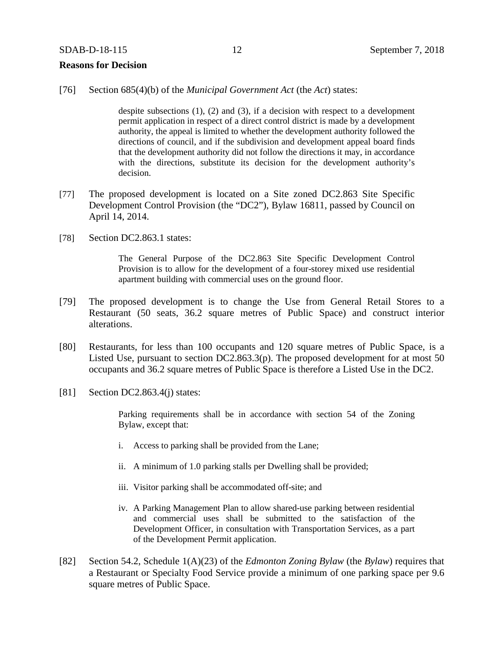#### **Reasons for Decision**

[76] Section 685(4)(b) of the *Municipal Government Act* (the *Act*) states:

despite subsections  $(1)$ ,  $(2)$  and  $(3)$ , if a decision with respect to a development permit application in respect of a direct control district is made by a development authority, the appeal is limited to whether the development authority followed the directions of council, and if the subdivision and development appeal board finds that the development authority did not follow the directions it may, in accordance with the directions, substitute its decision for the development authority's decision.

- [77] The proposed development is located on a Site zoned DC2.863 Site Specific Development Control Provision (the "DC2"), Bylaw 16811, passed by Council on April 14, 2014.
- [78] Section DC2.863.1 states:

The General Purpose of the DC2.863 Site Specific Development Control Provision is to allow for the development of a four-storey mixed use residential apartment building with commercial uses on the ground floor.

- [79] The proposed development is to change the Use from General Retail Stores to a Restaurant (50 seats, 36.2 square metres of Public Space) and construct interior alterations.
- [80] Restaurants, for less than 100 occupants and 120 square metres of Public Space, is a Listed Use, pursuant to section DC2.863.3(p). The proposed development for at most 50 occupants and 36.2 square metres of Public Space is therefore a Listed Use in the DC2.
- [81] Section DC2.863.4(j) states:

Parking requirements shall be in accordance with section 54 of the Zoning Bylaw, except that:

- i. Access to parking shall be provided from the Lane;
- ii. A minimum of 1.0 parking stalls per Dwelling shall be provided;
- iii. Visitor parking shall be accommodated off-site; and
- iv. A Parking Management Plan to allow shared-use parking between residential and commercial uses shall be submitted to the satisfaction of the Development Officer, in consultation with Transportation Services, as a part of the Development Permit application.
- [82] Section 54.2, Schedule 1(A)(23) of the *Edmonton Zoning Bylaw* (the *Bylaw*) requires that a Restaurant or Specialty Food Service provide a minimum of one parking space per 9.6 square metres of Public Space.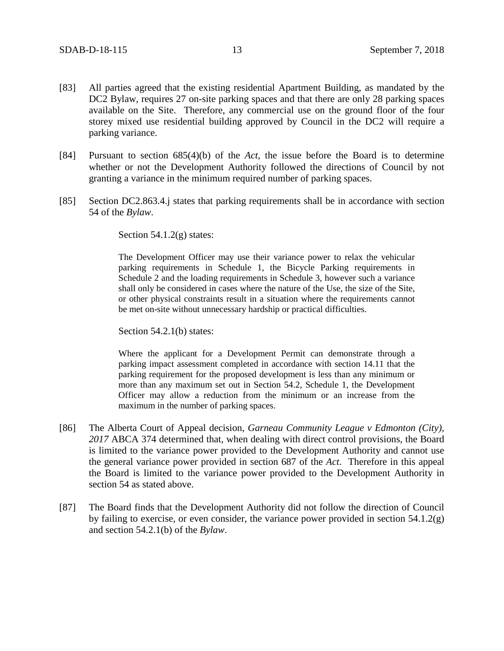- [83] All parties agreed that the existing residential Apartment Building, as mandated by the DC2 Bylaw, requires 27 on-site parking spaces and that there are only 28 parking spaces available on the Site. Therefore, any commercial use on the ground floor of the four storey mixed use residential building approved by Council in the DC2 will require a parking variance.
- [84] Pursuant to section 685(4)(b) of the *Act*, the issue before the Board is to determine whether or not the Development Authority followed the directions of Council by not granting a variance in the minimum required number of parking spaces.
- [85] Section DC2.863.4.j states that parking requirements shall be in accordance with section 54 of the *Bylaw*.

Section  $54.1.2(g)$  states:

The Development Officer may use their variance power to relax the vehicular parking requirements in Schedule 1, the Bicycle Parking requirements in Schedule 2 and the loading requirements in Schedule 3, however such a variance shall only be considered in cases where the nature of the Use, the size of the Site, or other physical constraints result in a situation where the requirements cannot be met on-site without unnecessary hardship or practical difficulties.

Section 54.2.1(b) states:

Where the applicant for a Development Permit can demonstrate through a parking impact assessment completed in accordance with section 14.11 that the parking requirement for the proposed development is less than any minimum or more than any maximum set out in Section 54.2, Schedule 1, the Development Officer may allow a reduction from the minimum or an increase from the maximum in the number of parking spaces.

- [86] The Alberta Court of Appeal decision, *Garneau Community League v Edmonton (City), 2017* ABCA 374 determined that, when dealing with direct control provisions, the Board is limited to the variance power provided to the Development Authority and cannot use the general variance power provided in section 687 of the *Act*. Therefore in this appeal the Board is limited to the variance power provided to the Development Authority in section 54 as stated above.
- [87] The Board finds that the Development Authority did not follow the direction of Council by failing to exercise, or even consider, the variance power provided in section  $54.1.2(g)$ and section 54.2.1(b) of the *Bylaw*.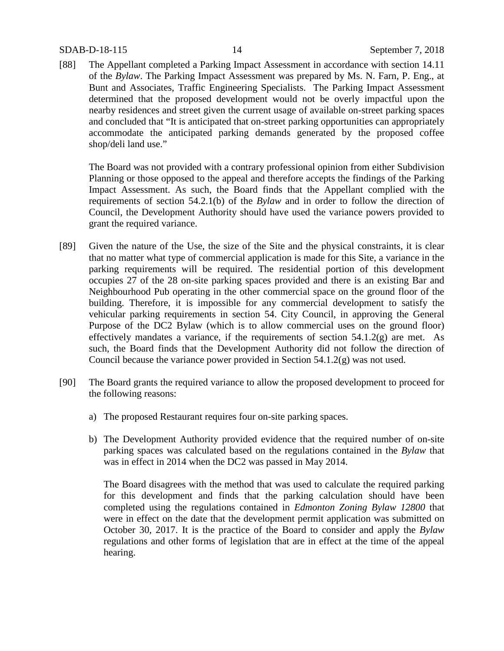[88] The Appellant completed a Parking Impact Assessment in accordance with section 14.11 of the *Bylaw*. The Parking Impact Assessment was prepared by Ms. N. Farn, P. Eng., at Bunt and Associates, Traffic Engineering Specialists. The Parking Impact Assessment determined that the proposed development would not be overly impactful upon the nearby residences and street given the current usage of available on-street parking spaces and concluded that "It is anticipated that on-street parking opportunities can appropriately accommodate the anticipated parking demands generated by the proposed coffee shop/deli land use."

The Board was not provided with a contrary professional opinion from either Subdivision Planning or those opposed to the appeal and therefore accepts the findings of the Parking Impact Assessment. As such, the Board finds that the Appellant complied with the requirements of section 54.2.1(b) of the *Bylaw* and in order to follow the direction of Council, the Development Authority should have used the variance powers provided to grant the required variance.

- [89] Given the nature of the Use, the size of the Site and the physical constraints, it is clear that no matter what type of commercial application is made for this Site, a variance in the parking requirements will be required. The residential portion of this development occupies 27 of the 28 on-site parking spaces provided and there is an existing Bar and Neighbourhood Pub operating in the other commercial space on the ground floor of the building. Therefore, it is impossible for any commercial development to satisfy the vehicular parking requirements in section 54. City Council, in approving the General Purpose of the DC2 Bylaw (which is to allow commercial uses on the ground floor) effectively mandates a variance, if the requirements of section  $54.1.2(g)$  are met. As such, the Board finds that the Development Authority did not follow the direction of Council because the variance power provided in Section 54.1.2(g) was not used.
- [90] The Board grants the required variance to allow the proposed development to proceed for the following reasons:
	- a) The proposed Restaurant requires four on-site parking spaces.
	- b) The Development Authority provided evidence that the required number of on-site parking spaces was calculated based on the regulations contained in the *Bylaw* that was in effect in 2014 when the DC2 was passed in May 2014.

The Board disagrees with the method that was used to calculate the required parking for this development and finds that the parking calculation should have been completed using the regulations contained in *Edmonton Zoning Bylaw 12800* that were in effect on the date that the development permit application was submitted on October 30, 2017. It is the practice of the Board to consider and apply the *Bylaw*  regulations and other forms of legislation that are in effect at the time of the appeal hearing.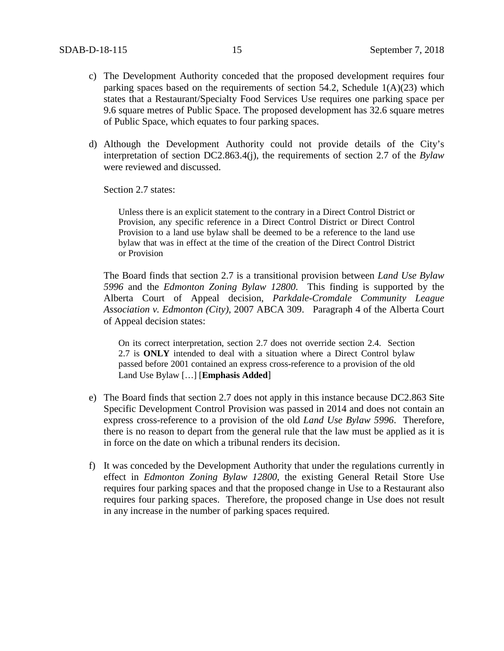- c) The Development Authority conceded that the proposed development requires four parking spaces based on the requirements of section 54.2, Schedule  $1(A)(23)$  which states that a Restaurant/Specialty Food Services Use requires one parking space per 9.6 square metres of Public Space. The proposed development has 32.6 square metres of Public Space, which equates to four parking spaces.
- d) Although the Development Authority could not provide details of the City's interpretation of section DC2.863.4(j), the requirements of section 2.7 of the *Bylaw* were reviewed and discussed.

Section 2.7 states:

Unless there is an explicit statement to the contrary in a Direct Control District or Provision, any specific reference in a Direct Control District or Direct Control Provision to a land use bylaw shall be deemed to be a reference to the land use bylaw that was in effect at the time of the creation of the Direct Control District or Provision

The Board finds that section 2.7 is a transitional provision between *Land Use Bylaw 5996* and the *Edmonton Zoning Bylaw 12800*. This finding is supported by the Alberta Court of Appeal decision, *Parkdale-Cromdale Community League Association v. Edmonton (City)*, 2007 ABCA 309. Paragraph 4 of the Alberta Court of Appeal decision states:

On its correct interpretation, section 2.7 does not override section 2.4. Section 2.7 is **ONLY** intended to deal with a situation where a Direct Control bylaw passed before 2001 contained an express cross-reference to a provision of the old Land Use Bylaw […] [**Emphasis Added**]

- e) The Board finds that section 2.7 does not apply in this instance because DC2.863 Site Specific Development Control Provision was passed in 2014 and does not contain an express cross-reference to a provision of the old *Land Use Bylaw 5996*. Therefore, there is no reason to depart from the general rule that the law must be applied as it is in force on the date on which a tribunal renders its decision.
- f) It was conceded by the Development Authority that under the regulations currently in effect in *Edmonton Zoning Bylaw 12800*, the existing General Retail Store Use requires four parking spaces and that the proposed change in Use to a Restaurant also requires four parking spaces. Therefore, the proposed change in Use does not result in any increase in the number of parking spaces required.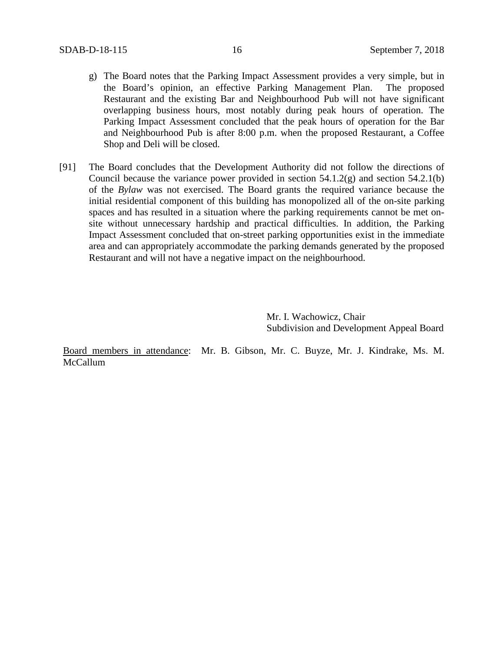- g) The Board notes that the Parking Impact Assessment provides a very simple, but in the Board's opinion, an effective Parking Management Plan. The proposed Restaurant and the existing Bar and Neighbourhood Pub will not have significant overlapping business hours, most notably during peak hours of operation. The Parking Impact Assessment concluded that the peak hours of operation for the Bar and Neighbourhood Pub is after 8:00 p.m. when the proposed Restaurant, a Coffee Shop and Deli will be closed.
- [91] The Board concludes that the Development Authority did not follow the directions of Council because the variance power provided in section 54.1.2(g) and section 54.2.1(b) of the *Bylaw* was not exercised. The Board grants the required variance because the initial residential component of this building has monopolized all of the on-site parking spaces and has resulted in a situation where the parking requirements cannot be met onsite without unnecessary hardship and practical difficulties. In addition, the Parking Impact Assessment concluded that on-street parking opportunities exist in the immediate area and can appropriately accommodate the parking demands generated by the proposed Restaurant and will not have a negative impact on the neighbourhood.

Mr. I. Wachowicz, Chair Subdivision and Development Appeal Board

Board members in attendance: Mr. B. Gibson, Mr. C. Buyze, Mr. J. Kindrake, Ms. M. McCallum